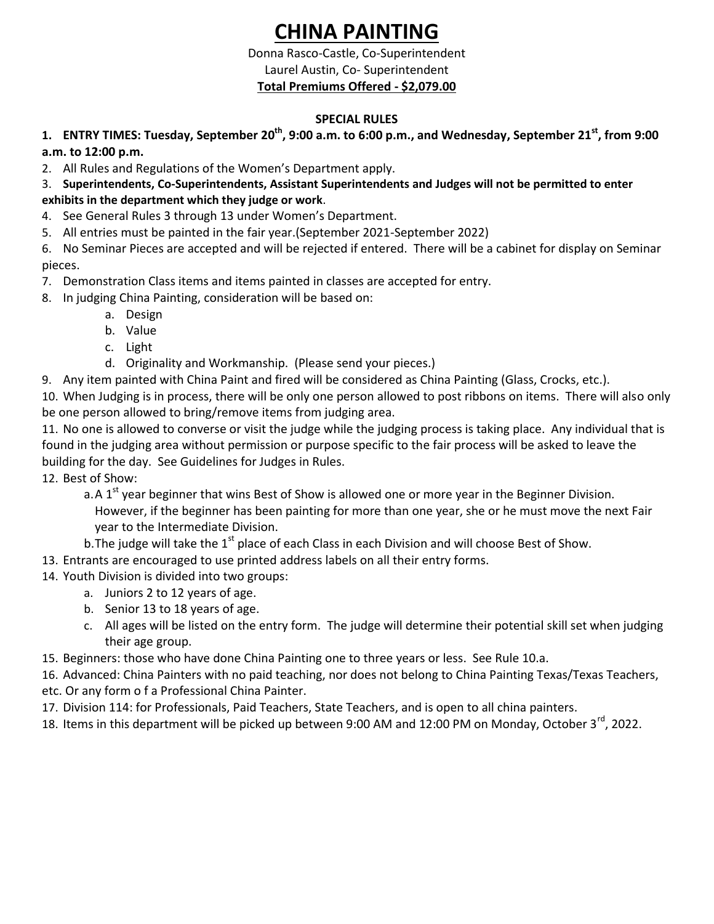# **CHINA PAINTING**

### Donna Rasco-Castle, Co-Superintendent Laurel Austin, Co- Superintendent **Total Premiums Offered - \$2,079.00**

# **SPECIAL RULES**

# **1. ENTRY TIMES: Tuesday, September 20th , 9:00 a.m. to 6:00 p.m., and Wednesday, September 21st , from 9:00 a.m. to 12:00 p.m.**

2. All Rules and Regulations of the Women's Department apply.

### 3. **Superintendents, Co-Superintendents, Assistant Superintendents and Judges will not be permitted to enter exhibits in the department which they judge or work**.

- 4. See General Rules 3 through 13 under Women's Department.
- 5. All entries must be painted in the fair year.(September 2021-September 2022)

6. No Seminar Pieces are accepted and will be rejected if entered. There will be a cabinet for display on Seminar pieces.

- 7. Demonstration Class items and items painted in classes are accepted for entry.
- 8. In judging China Painting, consideration will be based on:
	- a. Design
	- b. Value
	- c. Light
	- d. Originality and Workmanship. (Please send your pieces.)
- 9. Any item painted with China Paint and fired will be considered as China Painting (Glass, Crocks, etc.).

10. When Judging is in process, there will be only one person allowed to post ribbons on items. There will also only be one person allowed to bring/remove items from judging area.

11. No one is allowed to converse or visit the judge while the judging process is taking place. Any individual that is found in the judging area without permission or purpose specific to the fair process will be asked to leave the building for the day. See Guidelines for Judges in Rules.

12. Best of Show:

a. A  $1<sup>st</sup>$  year beginner that wins Best of Show is allowed one or more year in the Beginner Division. However, if the beginner has been painting for more than one year, she or he must move the next Fair year to the Intermediate Division.

b. The judge will take the  $1<sup>st</sup>$  place of each Class in each Division and will choose Best of Show.

- 13. Entrants are encouraged to use printed address labels on all their entry forms.
- 14. Youth Division is divided into two groups:
	- a. Juniors 2 to 12 years of age.
	- b. Senior 13 to 18 years of age.
	- c. All ages will be listed on the entry form. The judge will determine their potential skill set when judging their age group.
- 15. Beginners: those who have done China Painting one to three years or less. See Rule 10.a.
- 16. Advanced: China Painters with no paid teaching, nor does not belong to China Painting Texas/Texas Teachers,
- etc. Or any form o f a Professional China Painter.
- 17. Division 114: for Professionals, Paid Teachers, State Teachers, and is open to all china painters.
- 18. Items in this department will be picked up between 9:00 AM and 12:00 PM on Monday, October 3<sup>rd</sup>, 2022.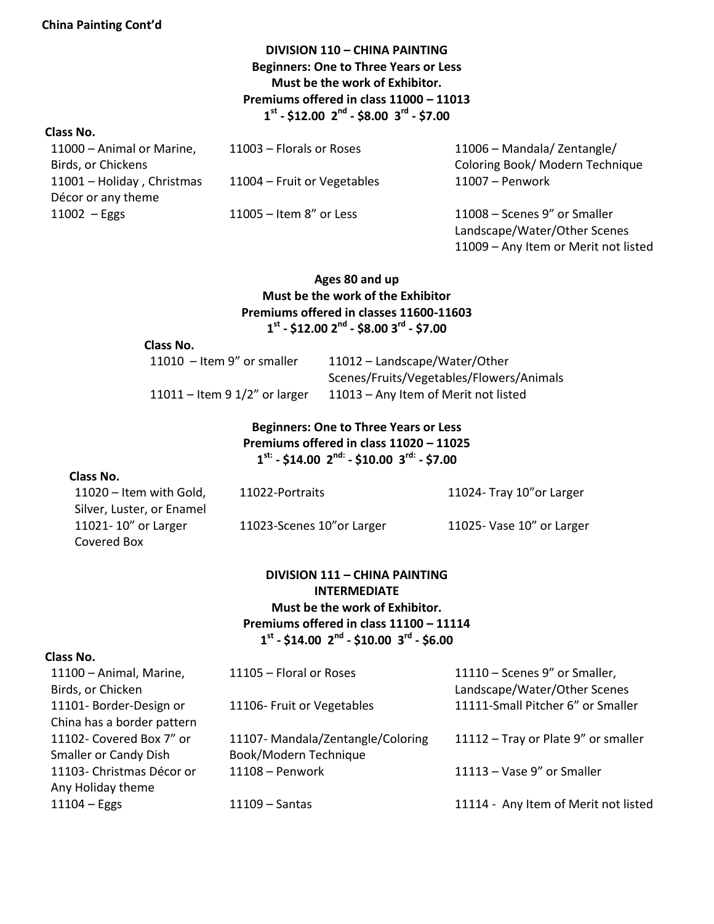### **China Painting Cont'd**

# **DIVISION 110 – CHINA PAINTING Beginners: One to Three Years or Less Must be the work of Exhibitor. Premiums offered in class 11000 – 11013 1 st - \$12.00 2 nd - \$8.00 3 rd - \$7.00**

#### **Class No.**

| 11000 - Animal or Marine,  | 11003 - Florals or Roses    | 11006 - Mandala/Zentangle/                                                                           |
|----------------------------|-----------------------------|------------------------------------------------------------------------------------------------------|
| Birds, or Chickens         |                             | Coloring Book/ Modern Technique                                                                      |
| 11001 - Holiday, Christmas | 11004 - Fruit or Vegetables | 11007 - Penwork                                                                                      |
| Décor or any theme         |                             |                                                                                                      |
| $11002 - Eggs$             | $11005 -$ Item 8" or Less   | 11008 - Scenes 9" or Smaller<br>Landscape/Water/Other Scenes<br>11009 - Any Item or Merit not listed |

### **Ages 80 and up Must be the work of the Exhibitor Premiums offered in classes 11600-11603 1 st - \$12.00 2nd - \$8.00 3 rd - \$7.00**

#### **Class No.**

| 11010 – Item 9" or smaller       | 11012 - Landscape/Water/Other            |
|----------------------------------|------------------------------------------|
|                                  | Scenes/Fruits/Vegetables/Flowers/Animals |
| 11011 – Item 9 $1/2$ " or larger | 11013 – Any Item of Merit not listed     |

### **Beginners: One to Three Years or Less Premiums offered in class 11020 – 11025 1 st: - \$14.00 2 nd: - \$10.00 3 rd: - \$7.00**

### **Class No.**

| $11020$ – Item with Gold, | 11022-Portraits            | 11024- Tray 10" or Larger |
|---------------------------|----------------------------|---------------------------|
| Silver, Luster, or Enamel |                            |                           |
| 11021-10" or Larger       | 11023-Scenes 10" or Larger | 11025- Vase 10" or Larger |
| Covered Box               |                            |                           |

## **DIVISION 111 – CHINA PAINTING INTERMEDIATE Must be the work of Exhibitor. Premiums offered in class 11100 – 11114 1 st - \$14.00 2 nd - \$10.00 3 rd - \$6.00**

#### **Class No.**

| 11100 - Animal, Marine,      | 11105 - Floral or Roses          | 11110 - Scenes 9" or Smaller,        |
|------------------------------|----------------------------------|--------------------------------------|
| Birds, or Chicken            |                                  | Landscape/Water/Other Scenes         |
| 11101- Border-Design or      | 11106- Fruit or Vegetables       | 11111-Small Pitcher 6" or Smaller    |
| China has a border pattern   |                                  |                                      |
| 11102- Covered Box 7" or     | 11107-Mandala/Zentangle/Coloring | 11112 - Tray or Plate 9" or smaller  |
| <b>Smaller or Candy Dish</b> | Book/Modern Technique            |                                      |
| 11103- Christmas Décor or    | $11108 -$ Penwork                | 11113 - Vase 9" or Smaller           |
| Any Holiday theme            |                                  |                                      |
| $11104 - Eggs$               | $11109 -$ Santas                 | 11114 - Any Item of Merit not listed |
|                              |                                  |                                      |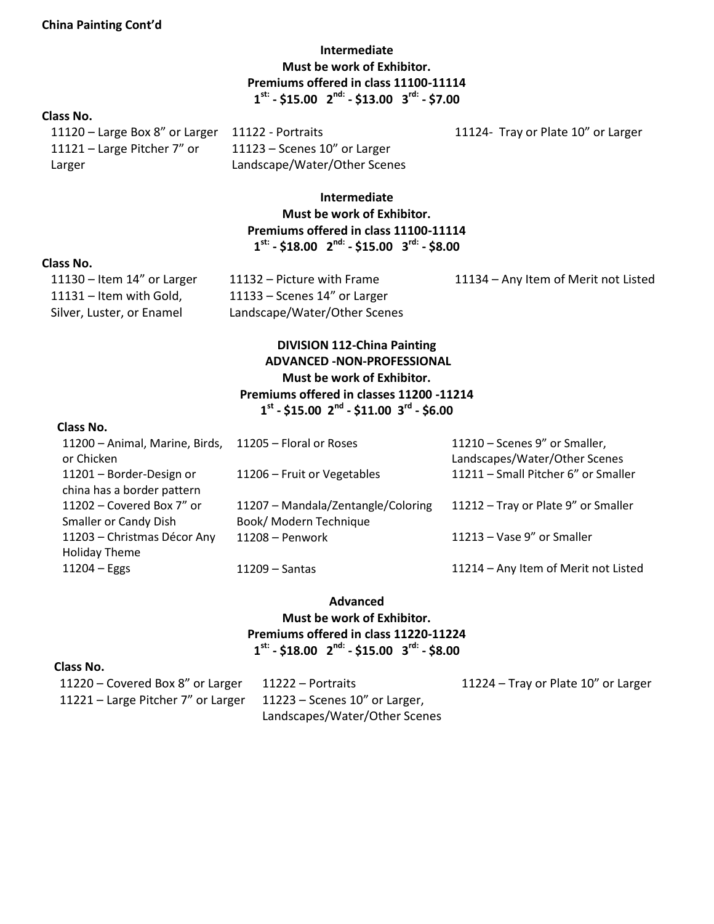**Intermediate Must be work of Exhibitor. Premiums offered in class 11100-11114 1 st: - \$15.00 2 nd: - \$13.00 3 rd: - \$7.00**

### **Class No.**

11121 – Large Pitcher 7" or Larger

11123 – Scenes 10" or Larger Landscape/Water/Other Scenes

11120 – Large Box 8" or Larger 11122 - Portraits 11124- Tray or Plate 10" or Larger

# **Intermediate Must be work of Exhibitor. Premiums offered in class 11100-11114 1 st: - \$18.00 2 nd: - \$15.00 3 rd: - \$8.00**

#### **Class No.**

11131 – Item with Gold, Silver, Luster, or Enamel 11133 – Scenes 14" or Larger Landscape/Water/Other Scenes

11130 – Item 14" or Larger 11132 – Picture with Frame 11134 – Any Item of Merit not Listed

# **DIVISION 112-China Painting ADVANCED -NON-PROFESSIONAL Must be work of Exhibitor. Premiums offered in classes 11200 -11214 1 st - \$15.00 2 nd - \$11.00 3 rd - \$6.00**

#### **Class No.**

| 11200 - Animal, Marine, Birds,<br>or Chicken | 11205 - Floral or Roses            | 11210 - Scenes 9" or Smaller,<br>Landscapes/Water/Other Scenes |
|----------------------------------------------|------------------------------------|----------------------------------------------------------------|
| 11201 - Border-Design or                     | 11206 - Fruit or Vegetables        | 11211 - Small Pitcher 6" or Smaller                            |
| china has a border pattern                   |                                    |                                                                |
| 11202 - Covered Box 7" or                    | 11207 - Mandala/Zentangle/Coloring | 11212 - Tray or Plate 9" or Smaller                            |
| <b>Smaller or Candy Dish</b>                 | Book/ Modern Technique             |                                                                |
| 11203 - Christmas Décor Any                  | $11208 -$ Penwork                  | 11213 - Vase 9" or Smaller                                     |
| <b>Holiday Theme</b>                         |                                    |                                                                |
| $11204 - Eggs$                               | $11209 -$ Santas                   | 11214 - Any Item of Merit not Listed                           |

#### **Advanced**

# **Must be work of Exhibitor. Premiums offered in class 11220-11224 1 st: - \$18.00 2 nd: - \$15.00 3 rd: - \$8.00**

#### **Class No.**

| 11220 – Covered Box 8" or Larger                                 | 11222 – Portraits             | 11224 – Tray or Plate 10" or Larger |
|------------------------------------------------------------------|-------------------------------|-------------------------------------|
| 11221 – Large Pitcher 7" or Larger 11223 – Scenes 10" or Larger, |                               |                                     |
|                                                                  | Landscapes/Water/Other Scenes |                                     |